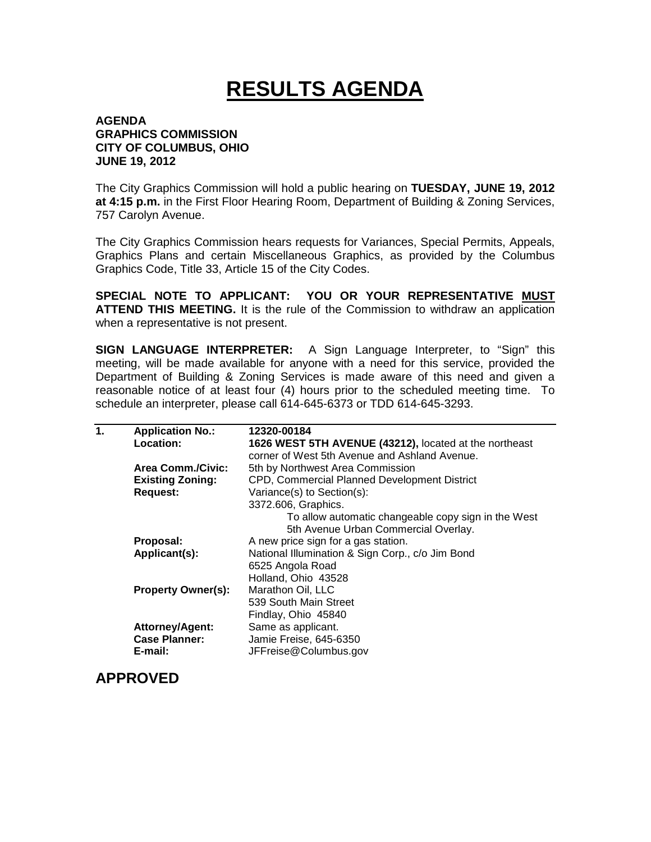## **RESULTS AGENDA**

## **AGENDA GRAPHICS COMMISSION CITY OF COLUMBUS, OHIO JUNE 19, 2012**

The City Graphics Commission will hold a public hearing on **TUESDAY, JUNE 19, 2012 at 4:15 p.m.** in the First Floor Hearing Room, Department of Building & Zoning Services, 757 Carolyn Avenue.

The City Graphics Commission hears requests for Variances, Special Permits, Appeals, Graphics Plans and certain Miscellaneous Graphics, as provided by the Columbus Graphics Code, Title 33, Article 15 of the City Codes.

**SPECIAL NOTE TO APPLICANT: YOU OR YOUR REPRESENTATIVE MUST ATTEND THIS MEETING.** It is the rule of the Commission to withdraw an application when a representative is not present.

**SIGN LANGUAGE INTERPRETER:** A Sign Language Interpreter, to "Sign" this meeting, will be made available for anyone with a need for this service, provided the Department of Building & Zoning Services is made aware of this need and given a reasonable notice of at least four (4) hours prior to the scheduled meeting time. To schedule an interpreter, please call 614-645-6373 or TDD 614-645-3293.

| 1. | <b>Application No.:</b>   | 12320-00184                                            |
|----|---------------------------|--------------------------------------------------------|
|    | Location:                 | 1626 WEST 5TH AVENUE (43212), located at the northeast |
|    |                           | corner of West 5th Avenue and Ashland Avenue.          |
|    | <b>Area Comm./Civic:</b>  | 5th by Northwest Area Commission                       |
|    | <b>Existing Zoning:</b>   | CPD, Commercial Planned Development District           |
|    | <b>Request:</b>           | Variance(s) to Section(s):                             |
|    |                           | 3372.606, Graphics.                                    |
|    |                           | To allow automatic changeable copy sign in the West    |
|    |                           | 5th Avenue Urban Commercial Overlay.                   |
|    | Proposal:                 | A new price sign for a gas station.                    |
|    | Applicant(s):             | National Illumination & Sign Corp., c/o Jim Bond       |
|    |                           | 6525 Angola Road                                       |
|    |                           | Holland, Ohio 43528                                    |
|    | <b>Property Owner(s):</b> | Marathon Oil, LLC                                      |
|    |                           | 539 South Main Street                                  |
|    |                           | Findlay, Ohio 45840                                    |
|    | <b>Attorney/Agent:</b>    | Same as applicant.                                     |
|    | <b>Case Planner:</b>      | Jamie Freise, 645-6350                                 |
|    | E-mail:                   | JFFreise@Columbus.gov                                  |
|    |                           |                                                        |

**APPROVED**